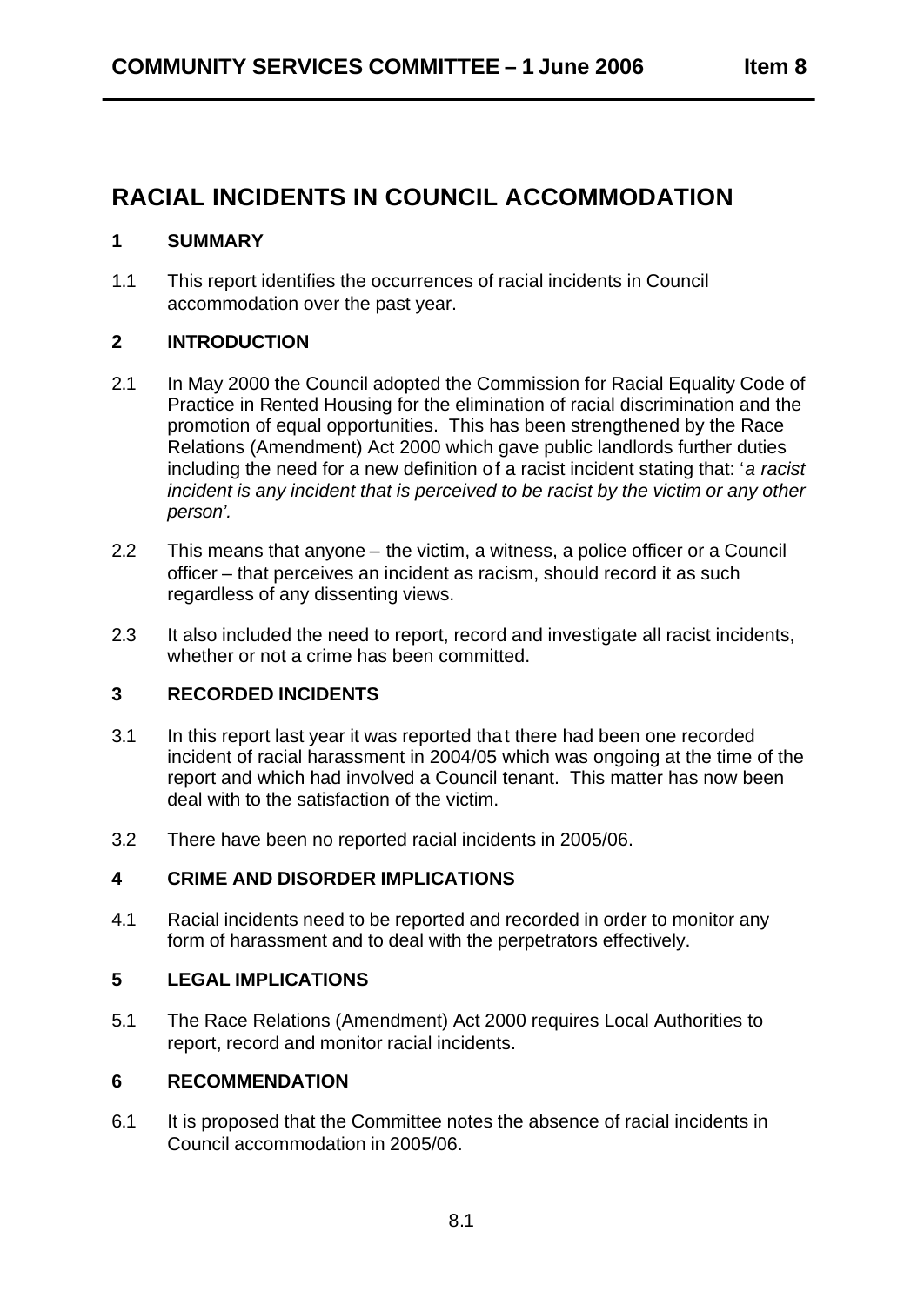# **RACIAL INCIDENTS IN COUNCIL ACCOMMODATION**

### **1 SUMMARY**

1.1 This report identifies the occurrences of racial incidents in Council accommodation over the past year.

## **2 INTRODUCTION**

- 2.1 In May 2000 the Council adopted the Commission for Racial Equality Code of Practice in Rented Housing for the elimination of racial discrimination and the promotion of equal opportunities. This has been strengthened by the Race Relations (Amendment) Act 2000 which gave public landlords further duties including the need for a new definition of a racist incident stating that: 'a racist *incident is any incident that is perceived to be racist by the victim or any other person'.*
- 2.2 This means that anyone the victim, a witness, a police officer or a Council officer – that perceives an incident as racism, should record it as such regardless of any dissenting views.
- 2.3 It also included the need to report, record and investigate all racist incidents, whether or not a crime has been committed.

### **3 RECORDED INCIDENTS**

- 3.1 In this report last year it was reported tha t there had been one recorded incident of racial harassment in 2004/05 which was ongoing at the time of the report and which had involved a Council tenant. This matter has now been deal with to the satisfaction of the victim.
- 3.2 There have been no reported racial incidents in 2005/06.

### **4 CRIME AND DISORDER IMPLICATIONS**

4.1 Racial incidents need to be reported and recorded in order to monitor any form of harassment and to deal with the perpetrators effectively.

### **5 LEGAL IMPLICATIONS**

5.1 The Race Relations (Amendment) Act 2000 requires Local Authorities to report, record and monitor racial incidents.

### **6 RECOMMENDATION**

6.1 It is proposed that the Committee notes the absence of racial incidents in Council accommodation in 2005/06.